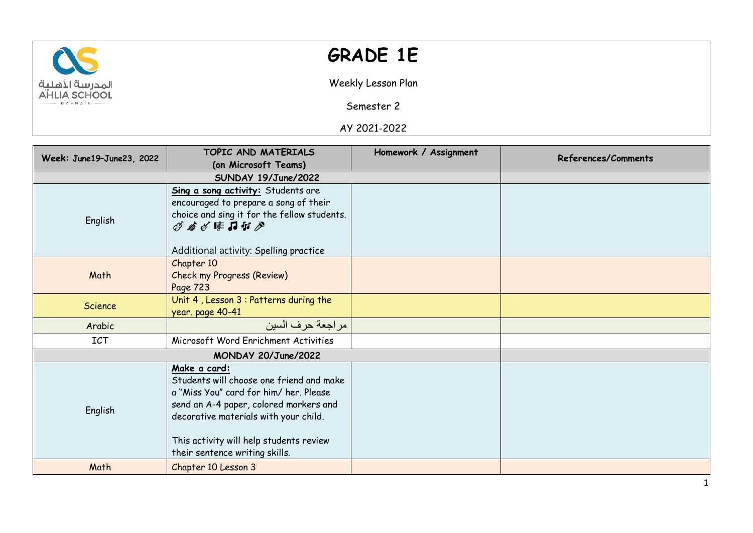

## **GRADE 1E**

Weekly Lesson Plan

Semester 2

AY 2021-2022

| Week: June19-June23, 2022 | TOPIC AND MATERIALS                                                                                                                                                                                                                                               | Homework / Assignment | References/Comments |
|---------------------------|-------------------------------------------------------------------------------------------------------------------------------------------------------------------------------------------------------------------------------------------------------------------|-----------------------|---------------------|
|                           | (on Microsoft Teams)                                                                                                                                                                                                                                              |                       |                     |
|                           | SUNDAY 19/June/2022                                                                                                                                                                                                                                               |                       |                     |
|                           | Sing a song activity: Students are<br>encouraged to prepare a song of their                                                                                                                                                                                       |                       |                     |
| English                   | choice and sing it for the fellow students.<br>ダカダ隼コケグ                                                                                                                                                                                                            |                       |                     |
|                           | Additional activity: Spelling practice                                                                                                                                                                                                                            |                       |                     |
| Math                      | Chapter 10<br><b>Check my Progress (Review)</b><br>Page 723                                                                                                                                                                                                       |                       |                     |
| Science                   | Unit 4, Lesson 3 : Patterns during the<br>year. page 40-41                                                                                                                                                                                                        |                       |                     |
| Arabic                    | مر اجعة حر ف السين                                                                                                                                                                                                                                                |                       |                     |
| <b>ICT</b>                | Microsoft Word Enrichment Activities                                                                                                                                                                                                                              |                       |                     |
|                           | MONDAY 20/June/2022                                                                                                                                                                                                                                               |                       |                     |
| English                   | Make a card:<br>Students will choose one friend and make<br>a "Miss You" card for him/her. Please<br>send an A-4 paper, colored markers and<br>decorative materials with your child.<br>This activity will help students review<br>their sentence writing skills. |                       |                     |
| Math                      | Chapter 10 Lesson 3                                                                                                                                                                                                                                               |                       |                     |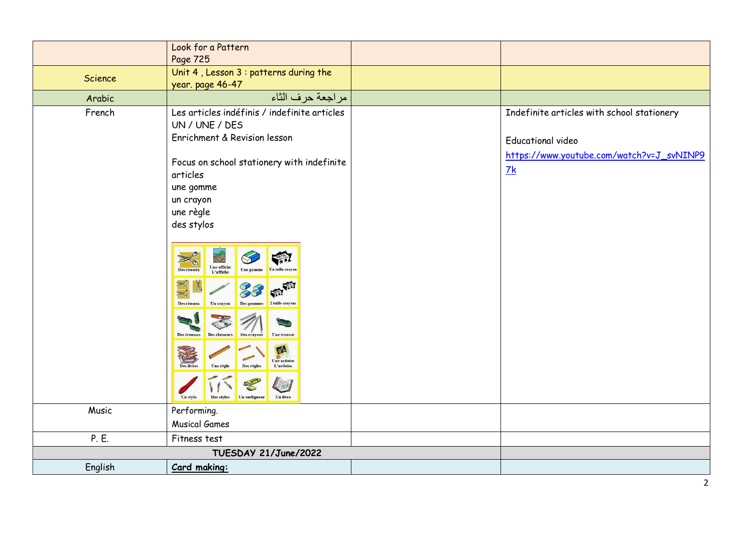|         | Look for a Pattern                                                                                                                                                                                                                                                                                                                                                                                                                                                                                                                                                                                   |                                                                                                                                       |
|---------|------------------------------------------------------------------------------------------------------------------------------------------------------------------------------------------------------------------------------------------------------------------------------------------------------------------------------------------------------------------------------------------------------------------------------------------------------------------------------------------------------------------------------------------------------------------------------------------------------|---------------------------------------------------------------------------------------------------------------------------------------|
|         | Page 725                                                                                                                                                                                                                                                                                                                                                                                                                                                                                                                                                                                             |                                                                                                                                       |
| Science | Unit 4, Lesson 3 : patterns during the                                                                                                                                                                                                                                                                                                                                                                                                                                                                                                                                                               |                                                                                                                                       |
|         | year. page 46-47                                                                                                                                                                                                                                                                                                                                                                                                                                                                                                                                                                                     |                                                                                                                                       |
| Arabic  | مراجعة حرف الثاء                                                                                                                                                                                                                                                                                                                                                                                                                                                                                                                                                                                     |                                                                                                                                       |
| French  | Les articles indéfinis / indefinite articles<br>UN / UNE / DES<br>Enrichment & Revision lesson<br>Focus on school stationery with indefinite<br>articles<br>une gomme<br>un crayon<br>une règle<br>des stylos<br>F.<br>Une affiche<br>Des ciseaux<br>L'affiche<br>$\left( 1\right)$<br>2 taille-cravons<br>Des ciseaux<br>Un cravon<br>$\equiv$<br><b>Des trousses</b><br>Des classeur<br><b>Une trousse</b><br><b>Des crayons</b><br>oz<br><b>Une ardoise</b><br>Des règles<br>Une règle<br>L'ardoise<br><b>Des livres</b><br>O<br>VE<br>Un surligneur<br>Des stylos<br><b>Un livre</b><br>Un stylo | Indefinite articles with school stationery<br><b>Educational video</b><br>https://www.youtube.com/watch?v=J_svNINP9<br>$\frac{7k}{4}$ |
| Music   | Performing.                                                                                                                                                                                                                                                                                                                                                                                                                                                                                                                                                                                          |                                                                                                                                       |
|         | <b>Musical Games</b>                                                                                                                                                                                                                                                                                                                                                                                                                                                                                                                                                                                 |                                                                                                                                       |
| P. E.   | Fitness test                                                                                                                                                                                                                                                                                                                                                                                                                                                                                                                                                                                         |                                                                                                                                       |
|         | TUESDAY 21/June/2022                                                                                                                                                                                                                                                                                                                                                                                                                                                                                                                                                                                 |                                                                                                                                       |
| English | Card making:                                                                                                                                                                                                                                                                                                                                                                                                                                                                                                                                                                                         |                                                                                                                                       |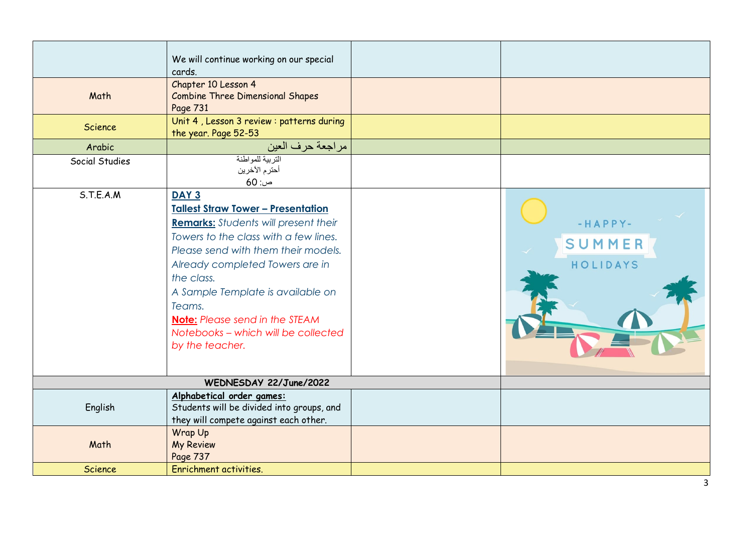|                | We will continue working on our special<br>cards.                                                                                                                                                                                                                                                                                                                                               |                                 |
|----------------|-------------------------------------------------------------------------------------------------------------------------------------------------------------------------------------------------------------------------------------------------------------------------------------------------------------------------------------------------------------------------------------------------|---------------------------------|
| Math           | Chapter 10 Lesson 4<br><b>Combine Three Dimensional Shapes</b><br>Page 731                                                                                                                                                                                                                                                                                                                      |                                 |
| <b>Science</b> | Unit 4, Lesson 3 review : patterns during<br>the year. Page 52-53                                                                                                                                                                                                                                                                                                                               |                                 |
| Arabic         | مراجعة حرف العين                                                                                                                                                                                                                                                                                                                                                                                |                                 |
| Social Studies | التربية للمواطنة<br>أحترم الآخرين<br>$60:$ ص                                                                                                                                                                                                                                                                                                                                                    |                                 |
| S.T.E.A.M      | DAY <sub>3</sub><br><b>Tallest Straw Tower - Presentation</b><br><b>Remarks:</b> Students will present their<br>Towers to the class with a few lines.<br>Please send with them their models.<br>Already completed Towers are in<br>the class.<br>A Sample Template is available on<br>Teams.<br><b>Note:</b> Please send in the STEAM<br>Notebooks - which will be collected<br>by the teacher. | $-HAPPY-$<br>SUMMER<br>HOLIDAYS |
|                | WEDNESDAY 22/June/2022                                                                                                                                                                                                                                                                                                                                                                          |                                 |
| English        | Alphabetical order games:<br>Students will be divided into groups, and<br>they will compete against each other.                                                                                                                                                                                                                                                                                 |                                 |
| Math           | Wrap Up<br><b>My Review</b><br>Page 737                                                                                                                                                                                                                                                                                                                                                         |                                 |
| <b>Science</b> | Enrichment activities.                                                                                                                                                                                                                                                                                                                                                                          |                                 |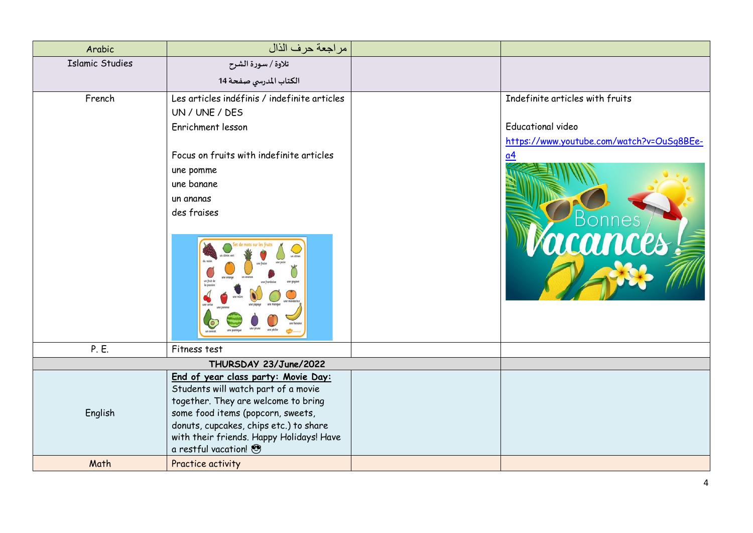| Arabic                 | مراجعة حرف الذال                                                         |                                           |
|------------------------|--------------------------------------------------------------------------|-------------------------------------------|
| <b>Islamic Studies</b> | تلاوة / سورة الشرح                                                       |                                           |
|                        | الكتاب المدرسي صفحة 14                                                   |                                           |
| French                 | Les articles indéfinis / indefinite articles                             | Indefinite articles with fruits           |
|                        | UN / UNE / DES                                                           |                                           |
|                        | Enrichment lesson                                                        | <b>Educational video</b>                  |
|                        |                                                                          | https://www.youtube.com/watch?v=OuSq8BEe- |
|                        | Focus on fruits with indefinite articles                                 | a4                                        |
|                        | une pomme                                                                |                                           |
|                        | une banane                                                               |                                           |
|                        | un ananas                                                                |                                           |
|                        | des fraises                                                              |                                           |
|                        |                                                                          |                                           |
|                        |                                                                          | mices                                     |
|                        | un fruit                                                                 |                                           |
|                        |                                                                          |                                           |
|                        |                                                                          |                                           |
| P. E.                  | Fitness test                                                             |                                           |
|                        | THURSDAY 23/June/2022                                                    |                                           |
|                        | End of year class party: Movie Day:                                      |                                           |
|                        | Students will watch part of a movie                                      |                                           |
| English                | together. They are welcome to bring<br>some food items (popcorn, sweets, |                                           |
|                        | donuts, cupcakes, chips etc.) to share                                   |                                           |
|                        | with their friends. Happy Holidays! Have                                 |                                           |
|                        | a restful vacation!                                                      |                                           |
| Math                   | Practice activity                                                        |                                           |